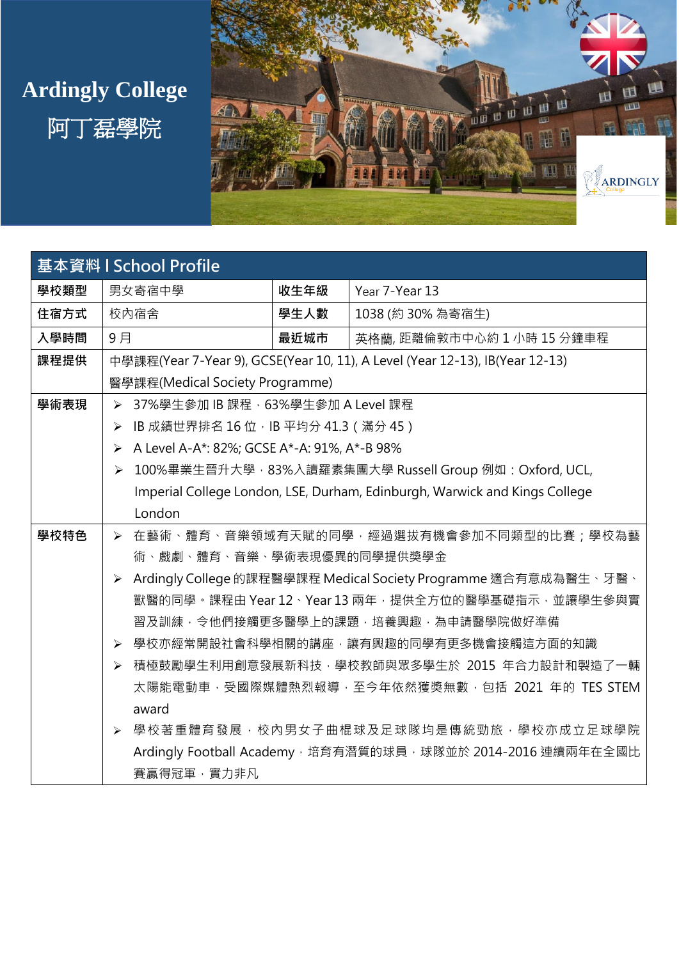## **Ardingly College**





| 基本資料   School Profile |                                                                                  |                                                                 |                                                   |  |
|-----------------------|----------------------------------------------------------------------------------|-----------------------------------------------------------------|---------------------------------------------------|--|
| 學校類型                  | 男女寄宿中學                                                                           | 收生年級                                                            | Year 7-Year 13                                    |  |
| 住宿方式                  | 校内宿舍                                                                             | 學生人數                                                            | 1038 (約 30% 為寄宿生)                                 |  |
| 入學時間                  | 9月                                                                               | 最近城市                                                            | 英格蘭,距離倫敦市中心約1小時15分鐘車程                             |  |
| 課程提供                  | 中學課程(Year 7-Year 9), GCSE(Year 10, 11), A Level (Year 12-13), IB(Year 12-13)     |                                                                 |                                                   |  |
|                       | 醫學課程(Medical Society Programme)                                                  |                                                                 |                                                   |  |
| 學術表現                  | 37%學生參加 IB 課程, 63%學生參加 A Level 課程<br>➤                                           |                                                                 |                                                   |  |
|                       | IB 成績世界排名 16 位,IB 平均分 41.3 ( 滿分 45 )<br>≻                                        |                                                                 |                                                   |  |
|                       | A Level A-A*: 82%; GCSE A*-A: 91%, A*-B 98%<br>$\blacktriangleright$             |                                                                 |                                                   |  |
|                       | 100%畢業生晉升大學, 83%入讀羅素集團大學 Russell Group 例如: Oxford, UCL,<br>$\blacktriangleright$ |                                                                 |                                                   |  |
|                       | Imperial College London, LSE, Durham, Edinburgh, Warwick and Kings College       |                                                                 |                                                   |  |
|                       | London                                                                           |                                                                 |                                                   |  |
| 學校特色                  |                                                                                  |                                                                 | > 在藝術、體育、音樂領域有天賦的同學,經過選拔有機會參加不同類型的比賽;學校為藝         |  |
|                       | 術、戲劇、體育、音樂、學術表現優異的同學提供獎學金                                                        |                                                                 |                                                   |  |
|                       | $\blacktriangleright$                                                            | Ardingly College 的課程醫學課程 Medical Society Programme 適合有意成為醫生、牙醫、 |                                                   |  |
|                       |                                                                                  |                                                                 | 獸醫的同學。課程由 Year 12、Year 13 兩年,提供全方位的醫學基礎指示,並讓學生參與實 |  |
|                       |                                                                                  |                                                                 | 習及訓練,令他們接觸更多醫學上的課題,培養興趣,為申請醫學院做好準備                |  |
|                       | 學校亦經常開設社會科學相關的講座,讓有興趣的同學有更多機會接觸這方面的知識<br>$\blacktriangleright$                   |                                                                 |                                                   |  |
|                       |                                                                                  |                                                                 | ▶ 積極鼓勵學生利用創意發展新科技,學校教師與眾多學生於 2015 年合力設計和製造了一輛     |  |
|                       |                                                                                  |                                                                 | 太陽能電動車,受國際媒體熱烈報導,至今年依然獲獎無數,包括 2021 年的 TES STEM    |  |
|                       | award                                                                            |                                                                 |                                                   |  |
|                       | $\blacktriangleright$                                                            |                                                                 | 學校著重體育發展,校內男女子曲棍球及足球隊均是傳統勁旅,學校亦成立足球學院             |  |
|                       | Ardingly Football Academy, 培育有潛質的球員, 球隊並於 2014-2016 連續兩年在全國比                     |                                                                 |                                                   |  |
|                       | 賽贏得冠軍·實力非凡                                                                       |                                                                 |                                                   |  |